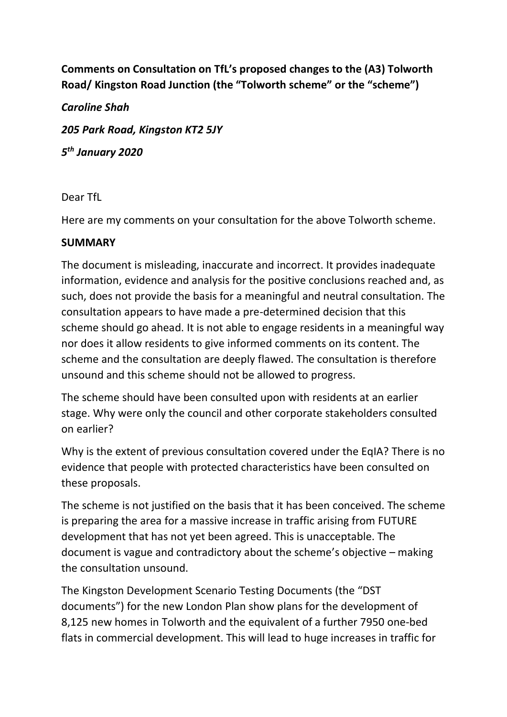**Comments on Consultation on TfL's proposed changes to the (A3) Tolworth Road/ Kingston Road Junction (the "Tolworth scheme" or the "scheme")**

*Caroline Shah 205 Park Road, Kingston KT2 5JY 5 th January 2020*

Dear TfL

Here are my comments on your consultation for the above Tolworth scheme.

#### **SUMMARY**

The document is misleading, inaccurate and incorrect. It provides inadequate information, evidence and analysis for the positive conclusions reached and, as such, does not provide the basis for a meaningful and neutral consultation. The consultation appears to have made a pre-determined decision that this scheme should go ahead. It is not able to engage residents in a meaningful way nor does it allow residents to give informed comments on its content. The scheme and the consultation are deeply flawed. The consultation is therefore unsound and this scheme should not be allowed to progress.

The scheme should have been consulted upon with residents at an earlier stage. Why were only the council and other corporate stakeholders consulted on earlier?

Why is the extent of previous consultation covered under the EqIA? There is no evidence that people with protected characteristics have been consulted on these proposals.

The scheme is not justified on the basis that it has been conceived. The scheme is preparing the area for a massive increase in traffic arising from FUTURE development that has not yet been agreed. This is unacceptable. The document is vague and contradictory about the scheme's objective – making the consultation unsound.

The Kingston Development Scenario Testing Documents (the "DST documents") for the new London Plan show plans for the development of 8,125 new homes in Tolworth and the equivalent of a further 7950 one-bed flats in commercial development. This will lead to huge increases in traffic for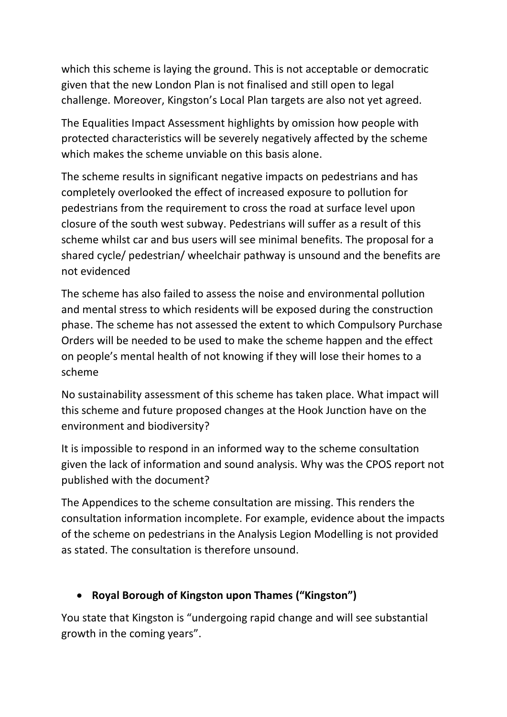which this scheme is laying the ground. This is not acceptable or democratic given that the new London Plan is not finalised and still open to legal challenge. Moreover, Kingston's Local Plan targets are also not yet agreed.

The Equalities Impact Assessment highlights by omission how people with protected characteristics will be severely negatively affected by the scheme which makes the scheme unviable on this basis alone.

The scheme results in significant negative impacts on pedestrians and has completely overlooked the effect of increased exposure to pollution for pedestrians from the requirement to cross the road at surface level upon closure of the south west subway. Pedestrians will suffer as a result of this scheme whilst car and bus users will see minimal benefits. The proposal for a shared cycle/ pedestrian/ wheelchair pathway is unsound and the benefits are not evidenced

The scheme has also failed to assess the noise and environmental pollution and mental stress to which residents will be exposed during the construction phase. The scheme has not assessed the extent to which Compulsory Purchase Orders will be needed to be used to make the scheme happen and the effect on people's mental health of not knowing if they will lose their homes to a scheme

No sustainability assessment of this scheme has taken place. What impact will this scheme and future proposed changes at the Hook Junction have on the environment and biodiversity?

It is impossible to respond in an informed way to the scheme consultation given the lack of information and sound analysis. Why was the CPOS report not published with the document?

The Appendices to the scheme consultation are missing. This renders the consultation information incomplete. For example, evidence about the impacts of the scheme on pedestrians in the Analysis Legion Modelling is not provided as stated. The consultation is therefore unsound.

# • **Royal Borough of Kingston upon Thames ("Kingston")**

You state that Kingston is "undergoing rapid change and will see substantial growth in the coming years".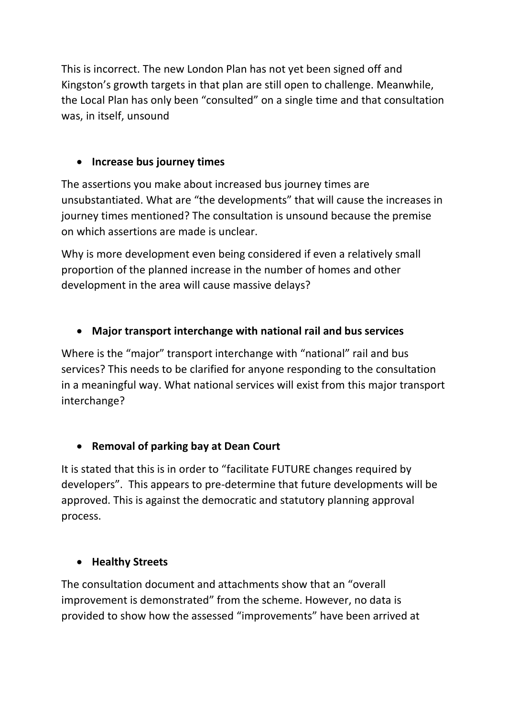This is incorrect. The new London Plan has not yet been signed off and Kingston's growth targets in that plan are still open to challenge. Meanwhile, the Local Plan has only been "consulted" on a single time and that consultation was, in itself, unsound

#### • **Increase bus journey times**

The assertions you make about increased bus journey times are unsubstantiated. What are "the developments" that will cause the increases in journey times mentioned? The consultation is unsound because the premise on which assertions are made is unclear.

Why is more development even being considered if even a relatively small proportion of the planned increase in the number of homes and other development in the area will cause massive delays?

## • **Major transport interchange with national rail and bus services**

Where is the "major" transport interchange with "national" rail and bus services? This needs to be clarified for anyone responding to the consultation in a meaningful way. What national services will exist from this major transport interchange?

### • **Removal of parking bay at Dean Court**

It is stated that this is in order to "facilitate FUTURE changes required by developers". This appears to pre-determine that future developments will be approved. This is against the democratic and statutory planning approval process.

### • **Healthy Streets**

The consultation document and attachments show that an "overall improvement is demonstrated" from the scheme. However, no data is provided to show how the assessed "improvements" have been arrived at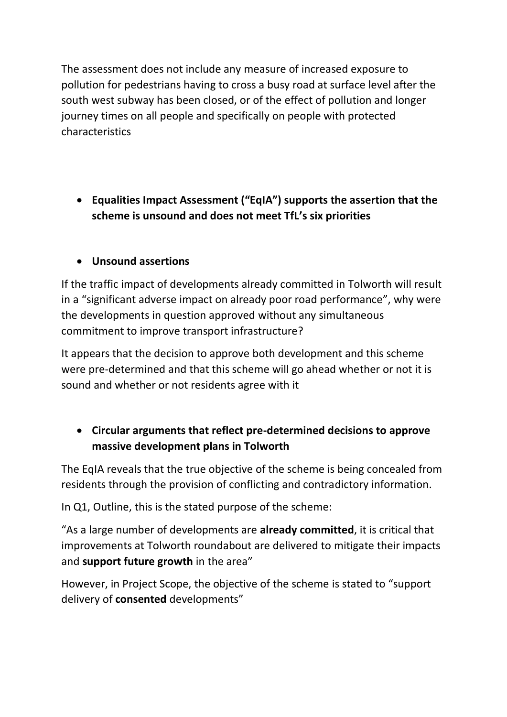The assessment does not include any measure of increased exposure to pollution for pedestrians having to cross a busy road at surface level after the south west subway has been closed, or of the effect of pollution and longer journey times on all people and specifically on people with protected characteristics

• **Equalities Impact Assessment ("EqIA") supports the assertion that the scheme is unsound and does not meet TfL's six priorities**

# • **Unsound assertions**

If the traffic impact of developments already committed in Tolworth will result in a "significant adverse impact on already poor road performance", why were the developments in question approved without any simultaneous commitment to improve transport infrastructure?

It appears that the decision to approve both development and this scheme were pre-determined and that this scheme will go ahead whether or not it is sound and whether or not residents agree with it

## • **Circular arguments that reflect pre-determined decisions to approve massive development plans in Tolworth**

The EqIA reveals that the true objective of the scheme is being concealed from residents through the provision of conflicting and contradictory information.

In Q1, Outline, this is the stated purpose of the scheme:

"As a large number of developments are **already committed**, it is critical that improvements at Tolworth roundabout are delivered to mitigate their impacts and **support future growth** in the area"

However, in Project Scope, the objective of the scheme is stated to "support delivery of **consented** developments"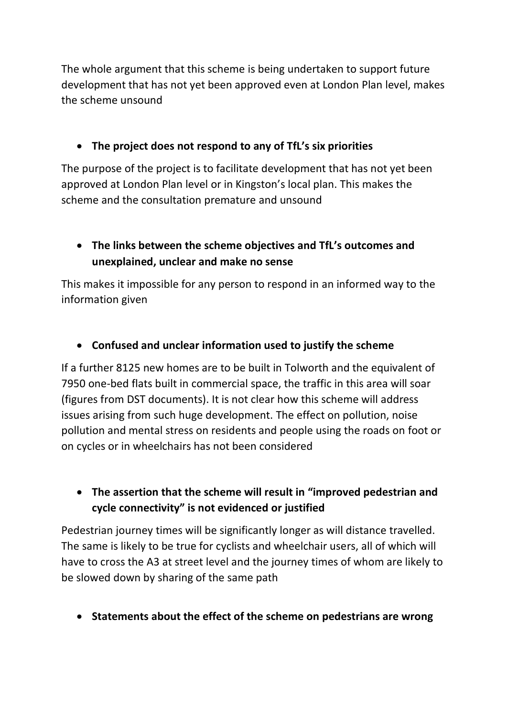The whole argument that this scheme is being undertaken to support future development that has not yet been approved even at London Plan level, makes the scheme unsound

# • **The project does not respond to any of TfL's six priorities**

The purpose of the project is to facilitate development that has not yet been approved at London Plan level or in Kingston's local plan. This makes the scheme and the consultation premature and unsound

# • **The links between the scheme objectives and TfL's outcomes and unexplained, unclear and make no sense**

This makes it impossible for any person to respond in an informed way to the information given

# • **Confused and unclear information used to justify the scheme**

If a further 8125 new homes are to be built in Tolworth and the equivalent of 7950 one-bed flats built in commercial space, the traffic in this area will soar (figures from DST documents). It is not clear how this scheme will address issues arising from such huge development. The effect on pollution, noise pollution and mental stress on residents and people using the roads on foot or on cycles or in wheelchairs has not been considered

## • **The assertion that the scheme will result in "improved pedestrian and cycle connectivity" is not evidenced or justified**

Pedestrian journey times will be significantly longer as will distance travelled. The same is likely to be true for cyclists and wheelchair users, all of which will have to cross the A3 at street level and the journey times of whom are likely to be slowed down by sharing of the same path

• **Statements about the effect of the scheme on pedestrians are wrong**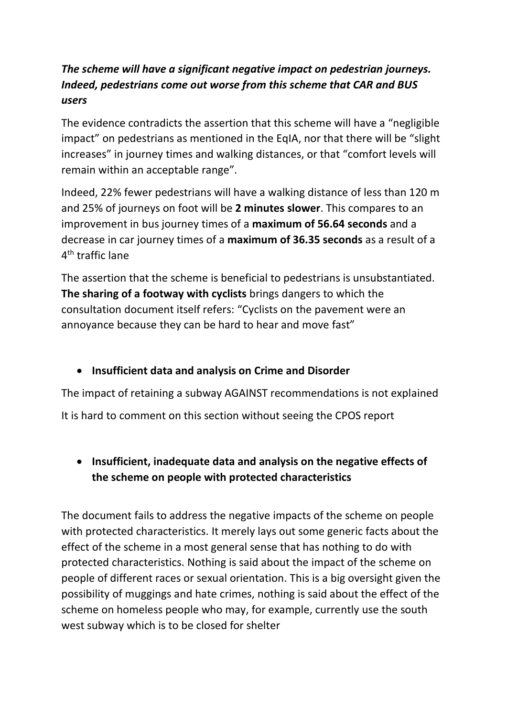# *The scheme will have a significant negative impact on pedestrian journeys. Indeed, pedestrians come out worse from this scheme that CAR and BUS users*

The evidence contradicts the assertion that this scheme will have a "negligible impact" on pedestrians as mentioned in the EqIA, nor that there will be "slight increases" in journey times and walking distances, or that "comfort levels will remain within an acceptable range".

Indeed, 22% fewer pedestrians will have a walking distance of less than 120 m and 25% of journeys on foot will be **2 minutes slower**. This compares to an improvement in bus journey times of a **maximum of 56.64 seconds** and a decrease in car journey times of a **maximum of 36.35 seconds** as a result of a 4<sup>th</sup> traffic lane

The assertion that the scheme is beneficial to pedestrians is unsubstantiated. **The sharing of a footway with cyclists** brings dangers to which the consultation document itself refers: "Cyclists on the pavement were an annoyance because they can be hard to hear and move fast"

### • **Insufficient data and analysis on Crime and Disorder**

The impact of retaining a subway AGAINST recommendations is not explained It is hard to comment on this section without seeing the CPOS report

# • **Insufficient, inadequate data and analysis on the negative effects of the scheme on people with protected characteristics**

The document fails to address the negative impacts of the scheme on people with protected characteristics. It merely lays out some generic facts about the effect of the scheme in a most general sense that has nothing to do with protected characteristics. Nothing is said about the impact of the scheme on people of different races or sexual orientation. This is a big oversight given the possibility of muggings and hate crimes, nothing is said about the effect of the scheme on homeless people who may, for example, currently use the south west subway which is to be closed for shelter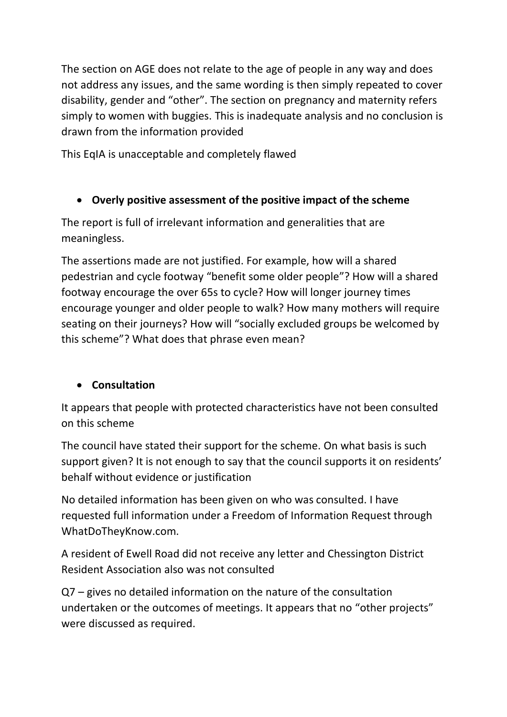The section on AGE does not relate to the age of people in any way and does not address any issues, and the same wording is then simply repeated to cover disability, gender and "other". The section on pregnancy and maternity refers simply to women with buggies. This is inadequate analysis and no conclusion is drawn from the information provided

This EqIA is unacceptable and completely flawed

# • **Overly positive assessment of the positive impact of the scheme**

The report is full of irrelevant information and generalities that are meaningless.

The assertions made are not justified. For example, how will a shared pedestrian and cycle footway "benefit some older people"? How will a shared footway encourage the over 65s to cycle? How will longer journey times encourage younger and older people to walk? How many mothers will require seating on their journeys? How will "socially excluded groups be welcomed by this scheme"? What does that phrase even mean?

# • **Consultation**

It appears that people with protected characteristics have not been consulted on this scheme

The council have stated their support for the scheme. On what basis is such support given? It is not enough to say that the council supports it on residents' behalf without evidence or justification

No detailed information has been given on who was consulted. I have requested full information under a Freedom of Information Request through WhatDoTheyKnow.com.

A resident of Ewell Road did not receive any letter and Chessington District Resident Association also was not consulted

Q7 – gives no detailed information on the nature of the consultation undertaken or the outcomes of meetings. It appears that no "other projects" were discussed as required.